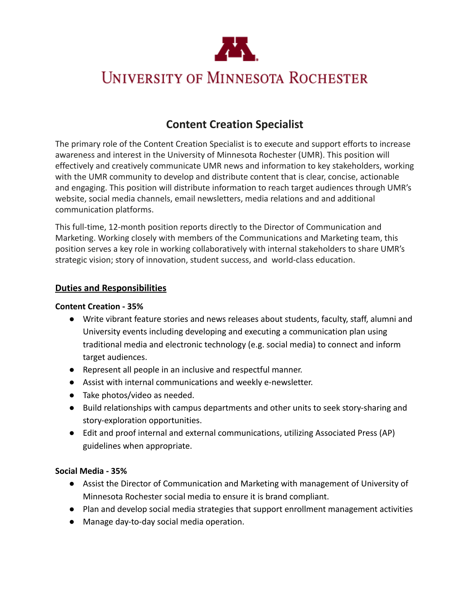

# **UNIVERSITY OF MINNESOTA ROCHESTER**

## **Content Creation Specialist**

The primary role of the Content Creation Specialist is to execute and support efforts to increase awareness and interest in the University of Minnesota Rochester (UMR). This position will effectively and creatively communicate UMR news and information to key stakeholders, working with the UMR community to develop and distribute content that is clear, concise, actionable and engaging. This position will distribute information to reach target audiences through UMR's website, social media channels, email newsletters, media relations and and additional communication platforms.

This full-time, 12-month position reports directly to the Director of Communication and Marketing. Working closely with members of the Communications and Marketing team, this position serves a key role in working collaboratively with internal stakeholders to share UMR's strategic vision; story of innovation, student success, and world-class education.

#### **Duties and Responsibilities**

#### **Content Creation - 35%**

- Write vibrant feature stories and news releases about students, faculty, staff, alumni and University events including developing and executing a communication plan using traditional media and electronic technology (e.g. social media) to connect and inform target audiences.
- Represent all people in an inclusive and respectful manner.
- Assist with internal communications and weekly e-newsletter.
- Take photos/video as needed.
- Build relationships with campus departments and other units to seek story-sharing and story-exploration opportunities.
- Edit and proof internal and external communications, utilizing Associated Press (AP) guidelines when appropriate.

#### **Social Media - 35%**

- Assist the Director of Communication and Marketing with management of University of Minnesota Rochester social media to ensure it is brand compliant.
- Plan and develop social media strategies that support enrollment management activities
- Manage day-to-day social media operation.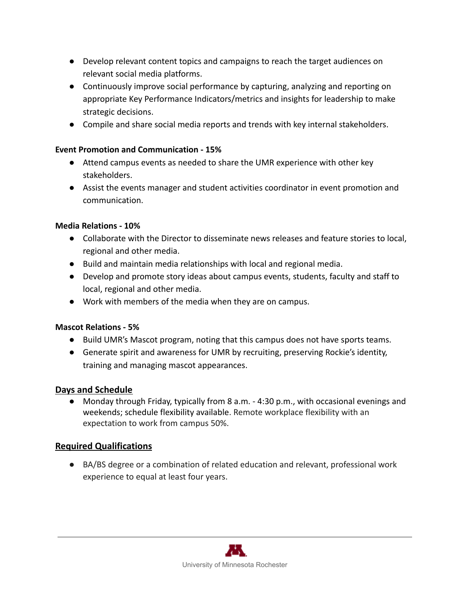- Develop relevant content topics and campaigns to reach the target audiences on relevant social media platforms.
- Continuously improve social performance by capturing, analyzing and reporting on appropriate Key Performance Indicators/metrics and insights for leadership to make strategic decisions.
- Compile and share social media reports and trends with key internal stakeholders.

#### **Event Promotion and Communication - 15%**

- Attend campus events as needed to share the UMR experience with other key stakeholders.
- Assist the events manager and student activities coordinator in event promotion and communication.

#### **Media Relations - 10%**

- Collaborate with the Director to disseminate news releases and feature stories to local, regional and other media.
- Build and maintain media relationships with local and regional media.
- Develop and promote story ideas about campus events, students, faculty and staff to local, regional and other media.
- Work with members of the media when they are on campus.

#### **Mascot Relations - 5%**

- Build UMR's Mascot program, noting that this campus does not have sports teams.
- Generate spirit and awareness for UMR by recruiting, preserving Rockie's identity, training and managing mascot appearances.

### **Days and Schedule**

● Monday through Friday, typically from 8 a.m. - 4:30 p.m., with occasional evenings and weekends; schedule flexibility available. Remote workplace flexibility with an expectation to work from campus 50%.

### **Required Qualifications**

● BA/BS degree or a combination of related education and relevant, professional work experience to equal at least four years.